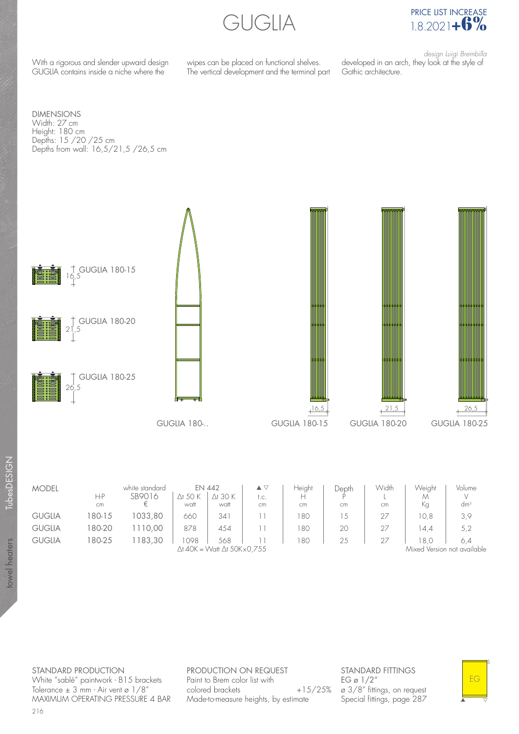GUGLIA



With a rigorous and slender upward design GUGLIA contains inside a niche where the

wipes can be placed on functional shelves. The vertical development and the terminal part

design Luigi Brembilla developed in an arch, they look at the style of Gothic architecture.

DIMENSIONS Width: 27 cm Height: 180 cm Depths: 15 /20 /25 cm Depths from wall: 16,5/21,5 /26,5 cm



| $dm^3$                             |
|------------------------------------|
| 3,9                                |
| 5,2                                |
| 6.4<br>Mixed Version not available |
|                                    |

STANDARD PRODUCTION

White "sablé" paintwork - B15 brackets Tolerance ± 3 mm - Air vent ø 1/8" MAXIMUM OPERATING PRESSURE 4 BAR

PRODUCTION ON REQUEST Paint to Brem color list with colored brackets +15/25% Made-to-measure heights, by estimate

STANDARD FITTINGS EG ø 1/2" ø 3/8" fittings, on request Special fittings, page 287

EG

 $\begin{array}{|c|c|}\n\hline\n\hline\n\end{array}$ 

s